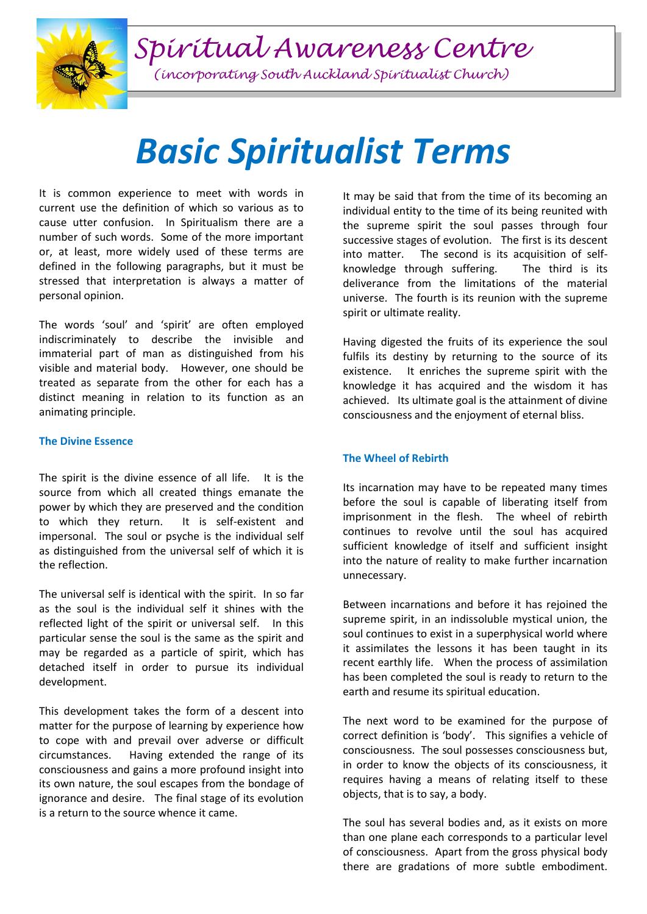*Spiritual Awareness Centre*



# *Basic Spiritualist Terms*

It is common experience to meet with words in current use the definition of which so various as to cause utter confusion. In Spiritualism there are a number of such words. Some of the more important or, at least, more widely used of these terms are defined in the following paragraphs, but it must be stressed that interpretation is always a matter of personal opinion.

The words 'soul' and 'spirit' are often employed indiscriminately to describe the invisible and immaterial part of man as distinguished from his visible and material body. However, one should be treated as separate from the other for each has a distinct meaning in relation to its function as an animating principle.

#### **The Divine Essence**

The spirit is the divine essence of all life. It is the source from which all created things emanate the power by which they are preserved and the condition to which they return. It is self-existent and impersonal. The soul or psyche is the individual self as distinguished from the universal self of which it is the reflection.

The universal self is identical with the spirit. In so far as the soul is the individual self it shines with the reflected light of the spirit or universal self. In this particular sense the soul is the same as the spirit and may be regarded as a particle of spirit, which has detached itself in order to pursue its individual development.

This development takes the form of a descent into matter for the purpose of learning by experience how to cope with and prevail over adverse or difficult circumstances. Having extended the range of its consciousness and gains a more profound insight into its own nature, the soul escapes from the bondage of ignorance and desire. The final stage of its evolution is a return to the source whence it came.

It may be said that from the time of its becoming an individual entity to the time of its being reunited with the supreme spirit the soul passes through four successive stages of evolution. The first is its descent into matter. The second is its acquisition of selfknowledge through suffering. The third is its deliverance from the limitations of the material universe. The fourth is its reunion with the supreme spirit or ultimate reality.

Having digested the fruits of its experience the soul fulfils its destiny by returning to the source of its existence. It enriches the supreme spirit with the knowledge it has acquired and the wisdom it has achieved. Its ultimate goal is the attainment of divine consciousness and the enjoyment of eternal bliss.

## **The Wheel of Rebirth**

Its incarnation may have to be repeated many times before the soul is capable of liberating itself from imprisonment in the flesh. The wheel of rebirth continues to revolve until the soul has acquired sufficient knowledge of itself and sufficient insight into the nature of reality to make further incarnation unnecessary.

Between incarnations and before it has rejoined the supreme spirit, in an indissoluble mystical union, the soul continues to exist in a superphysical world where it assimilates the lessons it has been taught in its recent earthly life. When the process of assimilation has been completed the soul is ready to return to the earth and resume its spiritual education.

The next word to be examined for the purpose of correct definition is 'body'. This signifies a vehicle of consciousness. The soul possesses consciousness but, in order to know the objects of its consciousness, it requires having a means of relating itself to these objects, that is to say, a body.

The soul has several bodies and, as it exists on more than one plane each corresponds to a particular level of consciousness. Apart from the gross physical body there are gradations of more subtle embodiment.